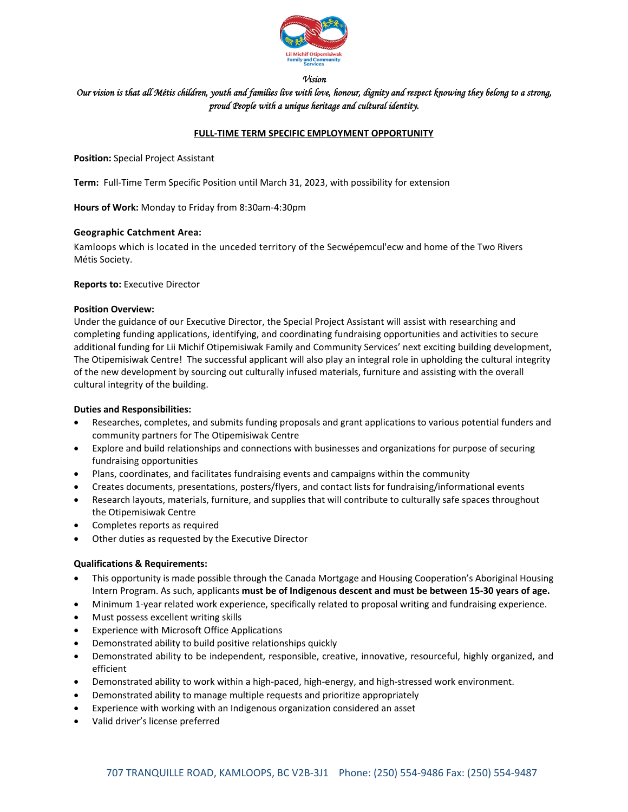

#### *Vision*

# *Our vision is that all Métis children, youth and families live with love, honour, dignity and respect knowing they belong to a strong, proud People with a unique heritage and cultural identity.*

### **FULL‐TIME TERM SPECIFIC EMPLOYMENT OPPORTUNITY**

**Position:** Special Project Assistant

**Term:** Full-Time Term Specific Position until March 31, 2023, with possibility for extension

**Hours of Work:** Monday to Friday from 8:30am‐4:30pm

#### **Geographic Catchment Area:**

Kamloops which is located in the unceded territory of the Secwépemcul'ecw and home of the Two Rivers Métis Society.

#### **Reports to:** Executive Director

### **Position Overview:**

Under the guidance of our Executive Director, the Special Project Assistant will assist with researching and completing funding applications, identifying, and coordinating fundraising opportunities and activities to secure additional funding for Lii Michif Otipemisiwak Family and Community Services' next exciting building development, The Otipemisiwak Centre! The successful applicant will also play an integral role in upholding the cultural integrity of the new development by sourcing out culturally infused materials, furniture and assisting with the overall cultural integrity of the building.

### **Duties and Responsibilities:**

- Researches, completes, and submits funding proposals and grant applications to various potential funders and community partners for The Otipemisiwak Centre
- Explore and build relationships and connections with businesses and organizations for purpose of securing fundraising opportunities
- Plans, coordinates, and facilitates fundraising events and campaigns within the community
- Creates documents, presentations, posters/flyers, and contact lists for fundraising/informational events
- Research layouts, materials, furniture, and supplies that will contribute to culturally safe spaces throughout the Otipemisiwak Centre
- Completes reports as required
- Other duties as requested by the Executive Director

## **Qualifications & Requirements:**

- This opportunity is made possible through the Canada Mortgage and Housing Cooperation's Aboriginal Housing Intern Program. As such, applicants **must be of Indigenous descent and must be between 15‐30 years of age.**
- Minimum 1‐year related work experience, specifically related to proposal writing and fundraising experience.
- Must possess excellent writing skills
- Experience with Microsoft Office Applications
- Demonstrated ability to build positive relationships quickly
- Demonstrated ability to be independent, responsible, creative, innovative, resourceful, highly organized, and efficient
- Demonstrated ability to work within a high-paced, high-energy, and high-stressed work environment.
- Demonstrated ability to manage multiple requests and prioritize appropriately
- Experience with working with an Indigenous organization considered an asset
- Valid driver's license preferred